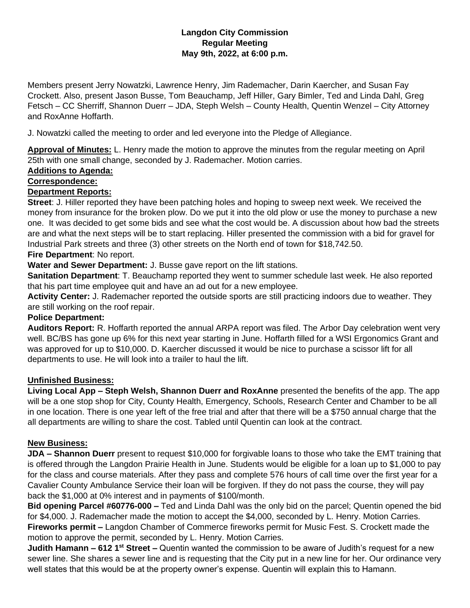## **Langdon City Commission Regular Meeting May 9th, 2022, at 6:00 p.m.**

Members present Jerry Nowatzki, Lawrence Henry, Jim Rademacher, Darin Kaercher, and Susan Fay Crockett. Also, present Jason Busse, Tom Beauchamp, Jeff Hiller, Gary Bimler, Ted and Linda Dahl, Greg Fetsch – CC Sherriff, Shannon Duerr – JDA, Steph Welsh – County Health, Quentin Wenzel – City Attorney and RoxAnne Hoffarth.

J. Nowatzki called the meeting to order and led everyone into the Pledge of Allegiance.

**Approval of Minutes:** L. Henry made the motion to approve the minutes from the regular meeting on April 25th with one small change, seconded by J. Rademacher. Motion carries.

## **Additions to Agenda:**

### **Correspondence:**

## **Department Reports:**

**Street**: J. Hiller reported they have been patching holes and hoping to sweep next week. We received the money from insurance for the broken plow. Do we put it into the old plow or use the money to purchase a new one. It was decided to get some bids and see what the cost would be. A discussion about how bad the streets are and what the next steps will be to start replacing. Hiller presented the commission with a bid for gravel for Industrial Park streets and three (3) other streets on the North end of town for \$18,742.50. **Fire Department**: No report.

# **Water and Sewer Department:** J. Busse gave report on the lift stations.

**Sanitation Department**: T. Beauchamp reported they went to summer schedule last week. He also reported that his part time employee quit and have an ad out for a new employee.

**Activity Center:** J. Rademacher reported the outside sports are still practicing indoors due to weather. They are still working on the roof repair.

### **Police Department:**

**Auditors Report:** R. Hoffarth reported the annual ARPA report was filed. The Arbor Day celebration went very well. BC/BS has gone up 6% for this next year starting in June. Hoffarth filled for a WSI Ergonomics Grant and was approved for up to \$10,000. D. Kaercher discussed it would be nice to purchase a scissor lift for all departments to use. He will look into a trailer to haul the lift.

### **Unfinished Business:**

**Living Local App – Steph Welsh, Shannon Duerr and RoxAnne** presented the benefits of the app. The app will be a one stop shop for City, County Health, Emergency, Schools, Research Center and Chamber to be all in one location. There is one year left of the free trial and after that there will be a \$750 annual charge that the all departments are willing to share the cost. Tabled until Quentin can look at the contract.

### **New Business:**

**JDA – Shannon Duerr** present to request \$10,000 for forgivable loans to those who take the EMT training that is offered through the Langdon Prairie Health in June. Students would be eligible for a loan up to \$1,000 to pay for the class and course materials. After they pass and complete 576 hours of call time over the first year for a Cavalier County Ambulance Service their loan will be forgiven. If they do not pass the course, they will pay back the \$1,000 at 0% interest and in payments of \$100/month.

**Bid opening Parcel #60776-000 –** Ted and Linda Dahl was the only bid on the parcel; Quentin opened the bid for \$4,000. J. Rademacher made the motion to accept the \$4,000, seconded by L. Henry. Motion Carries. **Fireworks permit –** Langdon Chamber of Commerce fireworks permit for Music Fest. S. Crockett made the motion to approve the permit, seconded by L. Henry. Motion Carries.

**Judith Hamann – 612 1st Street –** Quentin wanted the commission to be aware of Judith's request for a new sewer line. She shares a sewer line and is requesting that the City put in a new line for her. Our ordinance very well states that this would be at the property owner's expense. Quentin will explain this to Hamann.